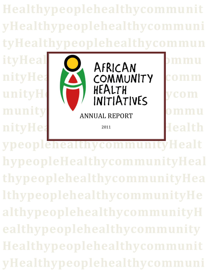**Healthypeoplehealthycommunit yHealthypeoplehealthycommuni tyHealthypeoplehealthycommun**

**munity** nityHealth<sub>2011</sub> 2011 2011 **Health** 



**ypeoplehealthycommunityHealt hypeopleHealthycommunityHeal thypeoplehealthycommunityHea lthypeoplehealthycommunityHe althypeoplehealthycommunityH ealthypeoplehealthycommunity Healthypeoplehealthycommunit yHealthypeoplehealthycommuni**

2011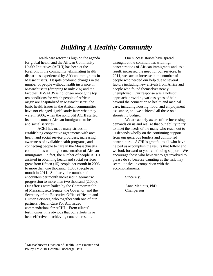# *Building A Healthy Community*

Health care reform is high on the agenda for global health and the African Community Health Initiatives (ACHI) has been at the forefront in the community, eliminating health disparities experienced by African immigrants in Massachusetts. Despite profound changes in the number of people without health insurance in Massachusetts (dropping to only 2%) and the fact that HIV/AIDS is no longer among the top ten conditions for which people of African origin are hospitalized in Massachusetts<sup>1</sup>, the basic health issues in the African communities have not changed significantly from what they were in 2006, when the nonprofit ACHI started its bid to connect African immigrants to health and social services.

ACHI has made many strides in establishing cooperative agreements with area health and social service providers, increasing awareness of available health programs, and connecting people to care in the Massachusetts communities with high concentration of African immigrants. In fact, the number of people ACHI assisted in obtaining health and social services grew from fifteen (15) people per month in 2006 to more than one thousand (1,000) people per month in 2011. Similarly, the number of encounters per month increased in geometric progression to more than two thousand (2,000). Our efforts were hailed by the Commonwealth of Massachusetts Senate, the Governor, and the Secretary of the Executive Office of Health and Human Services, who together with one of our partners, Health Care For All, issued commendations for ACHI. From clients' testimonies, it is obvious that our efforts have been effective in achieving concrete results.

Our success stories have spread throughout the communities with high concentrations of African immigrants and, as a result, increased the need for our services. In 2011, we saw an increase in the number of people who needed our help due to several factors including new arrivals from Africa and people who found themselves newly unemployed. Our response was a holistic approach, providing various types of help beyond the connection to health and medical care, including housing, food, and employment assistance, and we achieved all these on a shoestring budget.

We are acutely aware of the increasing demands on us and realize that our ability to try to meet the needs of the many who reach out to us depends wholly on the continuing support from our generous funders and committed contributors. ACHI is grateful to all who have helped us accomplish the results that follow and we look forward to your continuing support. We encourage those who have yet to get involved to please do so because daunting as the task may seem, it pales in comparison with the accomplishments.

Sincerely,

Anne Medinus, PhD Chairperson

 $\overline{\phantom{a}}$ 

<sup>&</sup>lt;sup>1</sup> Massachusetts Division of Health Care Finance and Policy FY 2010 Hospital Discharge Data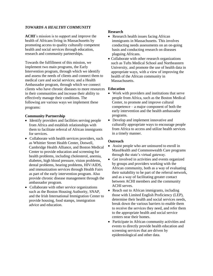#### *TOWARDS A HEALTHY COMMUNITY*

**ACHI**'s mission is to support and improve the health of Africans living in Massachusetts by promoting access to quality culturally competent health and social services through education, research and community partnerships.

Towards the fulfillment of this mission, we implement two main programs, the Early Intervention program, through which we identify and assess the needs of clients and connect them to medical care and social services; and a Health Ambassador program, through which we connect clients who have chronic diseases to more resources **Education** in their communities and increase their ability to effectively manage their conditions. The following are various ways we implement these programs:

#### **Community Partnership**

- Identify providers and facilities serving people from Africa and establish relationships with them to facilitate referral of African immigrants for services.
- Collaborate with health services providers, such as Whittier Street Health Center, Dotwell, Cambridge Health Alliance, and Boston Medical Center to provide education and screening for health problems, including cholesterol, anemia, diabetes, high blood pressure, vision problems, dental problems, hearing problems, HIV/AIDS, and immunization services through Health Fairs as part of the early intervention program. Also provide chronic disease management through the ambassador program.
- Collaborate with other service organizations such as the Boston Housing Authority, SNAP, and the Irish International Immigration Center to provide housing, food stamps, immigration advice and education.

#### **Research**

- Research health issues facing African immigrants in Massachusetts. This involves conducting needs assessments on an on-going basis and conducting research on diseases plaguing Africans.
- Collaborate with other research organizations such as Tufts Medical School and Northeastern University, and promote the use of health data in appropriate ways, with a view of improving the health of the African community in Massachusetts.

- Work with providers and institutions that serve people from Africa, such as the Boston Medical Center, to promote and improve cultural competence – a major component of both the early intervention and the health ambassador programs.
- Develop and implement innovative and culturally appropriate ways to encourage people from Africa to access and utilize health services in a timely manner.

#### **Outreach**

- Assist people who are uninsured to enroll in MassHealth and Commonwealth Care programs through the state's virtual gateway.
- Get involved in activities and events organized by groups and providers working with the African community, both as a way of evaluating their suitability to be part of the referral network, and as a way of facilitating greater contact between ACHI members and the community ACHI serves.
- Reach out to African immigrants, including those with Limited English Proficiency (LEP), determine their health and social services needs, break down the various barriers to enable them to receive the services they need, and refer them to the appropriate health and social service centers near their homes.
- Participate in African community activities and events to directly provide health education and screening services that are driven by epidemiological and other data.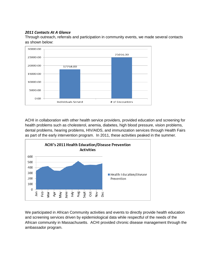#### *2011 Contacts At A Glance*

Through outreach, referrals and participation in community events, we made several contacts as shown below:



ACHI in collaboration with other health service providers, provided education and screening for health problems such as cholesterol, anemia, diabetes, high blood pressure, vision problems, dental problems, hearing problems, HIV/AIDS, and immunization services through Health Fairs as part of the early intervention program. In 2011, these activities peaked in the summer.



We participated in African Community activities and events to directly provide health education and screening services driven by epidemiological data while respectful of the needs of the African community in Massachusetts. ACHI provided chronic disease management through the ambassador program.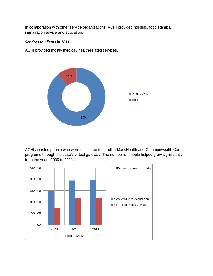In collaboration with other service organizations, ACHI provided housing, food stamps, immigration advice and education.

#### *Services to Clients in 2011*

ACHI provided mostly medical/ health-related services.



ACHI assisted people who were uninsured to enroll in MassHealth and Commonwealth Care programs through the state's virtual gateway. The number of people helped grew significantly, from the years 2009 to 2011.

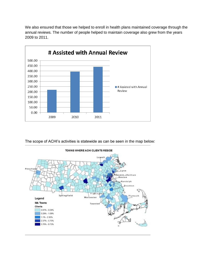We also ensured that those we helped to enroll in health plans maintained coverage through the annual reviews. The number of people helped to maintain coverage also grew from the years 2009 to 2011.



The scope of ACHI's activities is statewide as can be seen in the map below:

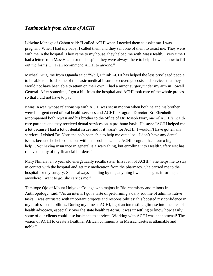## *Testimonials from clients of ACHI*

Lidwine Mapaga of Gabon said: "I called ACHI when I needed them to assist me. I was pregnant. When I had my baby, I called them and they sent one of them to assist me. They were with me in the hospital. They came to my house, they helped me with MassHealth. Every time I had a letter from MassHealth or the hospital they were always there to help show me how to fill out the forms….. I can recommend ACHI to anyone."

Michael Mugume from Uganda said: "Well, I think ACHI has helped the less privileged people to be able to afford some of the basic medical insurance coverage costs and services that they would not have been able to attain on their own. I had a minor surgery under my arm in Lowell General. After sometime, I got a bill from the hospital and ACHI took care of the whole process so that I did not have to pay."

Kwasi Kwaa, whose relationship with ACHI was set in motion when both he and his brother were in urgent need of oral health services and ACHI's Program Director, Sr. Elizabeth accompanied both Kwasi and his brother to the office of Dr. Joseph Norr, one of ACHI's health care partners and they received dental services on a pro-bono basis. He says: "ACHI helped me a lot because I had a lot of dental issues and if it wasn't for ACHI, I wouldn't have gotten any services. I visited Dr. Norr and he's been able to help me out a lot…I don't have any dental issues because he helped me out with that problem…The ACHI program has been a big help...Not having insurance in general is a scary thing, but enrolling into Health Safety Net has relieved many of my financial burdens."

Mary Nimely, a 76 year old energetically recalls sister Elizabeth of ACHI: "She helps me to stay in contact with the hospital and get my medication from the pharmacy. She carried me to the hospital for my surgery. She is always standing by me, anything I want, she gets it for me, and anywhere I want to go, she carries me."

Temitope Ojo of Mount Holyoke College who majors in Bio-chemistry and minors in Anthropology, said: "As an intern, I got a taste of performing a daily routine of administrative tasks. I was entrusted with important projects and responsibilities; this boosted my confidence in my professional abilities. During my time at ACHI, I got an interesting glimpse into the area of health advocacy, especially over the state health re-form. It was unsettling to know how easily some of our clients could lose basic health services. Working with ACHI was phenomenal! The vision of ACHI to create a healthier African community in Massachusetts is attainable and noble."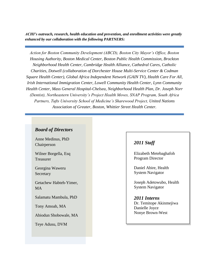*ACHI's outreach, research, health education and prevention, and enrollment activities were greatly enhanced by our collaboration with the following PARTNERS:* 

*Action for Boston Community Development (ABCD), Boston City Mayor's Office, Boston Housing Authority, Boston Medical Center, Boston Public Health Commission, Brockton Neighborhood Health Center, Cambridge Health Alliance, Cathedral Cares, Catholic Charities, Dotwell (collaboration of Dorchester House Multi-Service Center & Codman Square Health Center), Global Africa Independent Network (GAIN TV), Health Care For All, Irish International Immigration Center, Lowell Community Health Center, Lynn Community Health Center, Mass General Hospital-Chelsea, Neighborhood Health Plan, Dr. Joseph Norr (Dentist), Northeastern University's Project Health Moves, SNAP Program, South Africa Partners, Tufts University School of Medicine's Sharewood Project, United Nations Association of Greater, Boston, Whittier Street Health Center.* 

#### *Board of Directors*

Anne Medinus, PhD Chairperson

Wilner Borgella, Esq Treasurer

Georgina Waweru Secretary

Getachew Habteh-Yimer, MA

Salamatu Mambula, PhD

Tony Amoah, MA

Abiodun Shobowale, MA

Teye Adusu, DVM

## *2011 Staff*

Elizabeth Metebaghafoh Program Director

Daniel Abire, Health System Navigator

Joseph Adetowubo, Health System Navigator

#### *2011 Interns*

Dr. Temitope Akinmejiwa Danielle Joyce Nonye Brown-West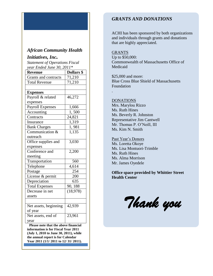## *African Community Health*

### *Initiatives, Inc.*

*Statement of Operations Fiscal year Ended June 30, 2011\**

| <b>Revenue</b>                       | Dollars \$ |
|--------------------------------------|------------|
| Grants and contracts                 | 71,210     |
| <b>Total Revenue</b>                 | 71,210     |
|                                      |            |
| <b>Expenses</b>                      |            |
| Payroll & related                    | 46,272     |
| expenses                             |            |
| <b>Payroll Expenses</b>              | 1,666      |
| Accounting                           | 1,500      |
| Contracts                            | 24,821     |
| Insurance                            | 1,319      |
| <b>Bank Charges</b>                  | 1,981      |
| Communication &                      | 1,135      |
| outreach                             |            |
| Office supplies and                  | 3,030      |
| expenses                             |            |
| Conference and                       | 2,200      |
| meeting                              |            |
| Transportation                       | 560        |
| Telephone                            | 4,614      |
| Postage                              | 254        |
| License & permit                     | 200        |
| Depreciation                         | 635        |
| <b>Total Expenses</b>                | 90, 188    |
| Decrease in net                      | (18, 978)  |
| assets                               |            |
|                                      |            |
| Net assets, beginning                | 42,939     |
| of year                              |            |
| Net assets, end of                   | 23,961     |
| year                                 |            |
| Please note that the above financial |            |

**information is for Fiscal Year 2011 (July 1, 2010 to June 30, 2011), while the annual report is for Calendar Year 2011 (1/1/ 2011 to 12/ 31/ 2011).** 

## *GRANTS AND DONATIONS*

ACHI has been sponsored by both organizations and individuals through grants and donations that are highly appreciated.

#### GRANTS

Up to \$50,000: Commonwealth of Massachusetts Office of Medicaid

\$25,000 and more: Blue Cross Blue Shield of Massachusetts Foundation

#### DONATIONS

.

Mrs. Marylou Rizzo Ms. Ruth Hines Ms. Beverly R. Johnston Representative Jim Cantwell Mr. Thomas P. O'Neill, III Ms. Kim N. Smith

Past Year's Donors Ms. Loretta Okoye Ms. Lisa Montuori-Trimble Ms. Ruth Hines Ms. Alma Morrison Mr. James Oyedele

#### **Office space provided by Whittier Street Health Center**

*Thank you*